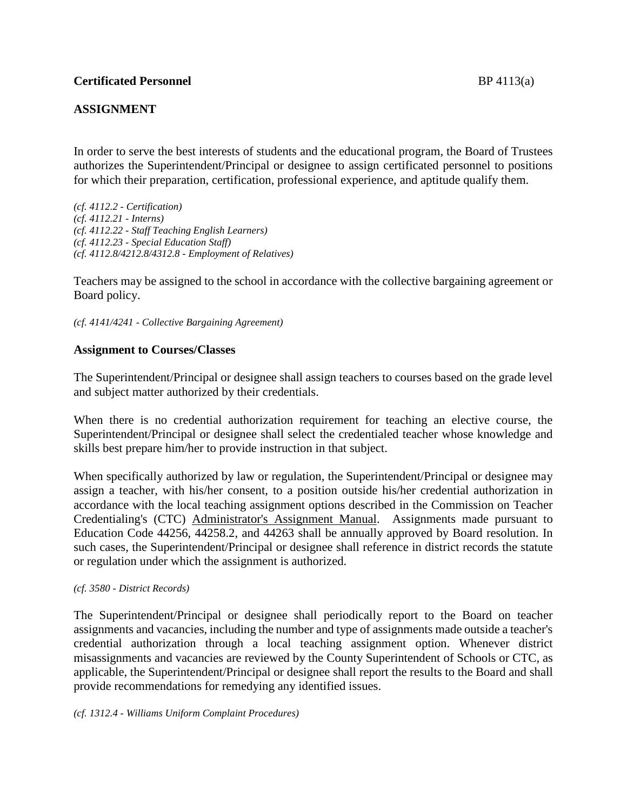# **ASSIGNMENT**

In order to serve the best interests of students and the educational program, the Board of Trustees authorizes the Superintendent/Principal or designee to assign certificated personnel to positions for which their preparation, certification, professional experience, and aptitude qualify them.

*(cf. 4112.2 - Certification) (cf. 4112.21 - Interns) (cf. 4112.22 - Staff Teaching English Learners) (cf. 4112.23 - Special Education Staff) (cf. 4112.8/4212.8/4312.8 - Employment of Relatives)*

Teachers may be assigned to the school in accordance with the collective bargaining agreement or Board policy.

*(cf. 4141/4241 - Collective Bargaining Agreement)*

## **Assignment to Courses/Classes**

The Superintendent/Principal or designee shall assign teachers to courses based on the grade level and subject matter authorized by their credentials.

When there is no credential authorization requirement for teaching an elective course, the Superintendent/Principal or designee shall select the credentialed teacher whose knowledge and skills best prepare him/her to provide instruction in that subject.

When specifically authorized by law or regulation, the Superintendent/Principal or designee may assign a teacher, with his/her consent, to a position outside his/her credential authorization in accordance with the local teaching assignment options described in the Commission on Teacher Credentialing's (CTC) Administrator's Assignment Manual. Assignments made pursuant to Education Code 44256, 44258.2, and 44263 shall be annually approved by Board resolution. In such cases, the Superintendent/Principal or designee shall reference in district records the statute or regulation under which the assignment is authorized.

### *(cf. 3580 - District Records)*

The Superintendent/Principal or designee shall periodically report to the Board on teacher assignments and vacancies, including the number and type of assignments made outside a teacher's credential authorization through a local teaching assignment option. Whenever district misassignments and vacancies are reviewed by the County Superintendent of Schools or CTC, as applicable, the Superintendent/Principal or designee shall report the results to the Board and shall provide recommendations for remedying any identified issues.

### *(cf. 1312.4 - Williams Uniform Complaint Procedures)*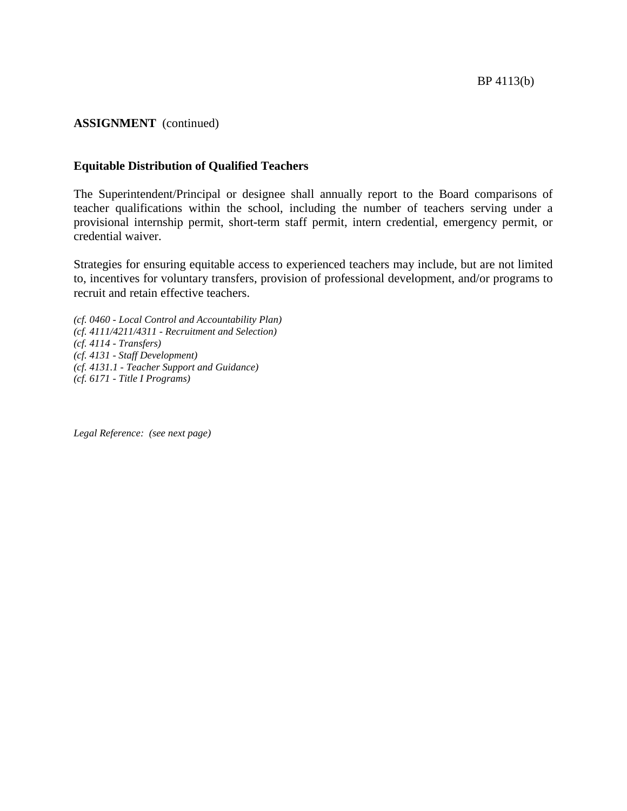## **ASSIGNMENT** (continued)

## **Equitable Distribution of Qualified Teachers**

The Superintendent/Principal or designee shall annually report to the Board comparisons of teacher qualifications within the school, including the number of teachers serving under a provisional internship permit, short-term staff permit, intern credential, emergency permit, or credential waiver.

Strategies for ensuring equitable access to experienced teachers may include, but are not limited to, incentives for voluntary transfers, provision of professional development, and/or programs to recruit and retain effective teachers.

*(cf. 0460 - Local Control and Accountability Plan) (cf. 4111/4211/4311 - Recruitment and Selection) (cf. 4114 - Transfers) (cf. 4131 - Staff Development) (cf. 4131.1 - Teacher Support and Guidance) (cf. 6171 - Title I Programs)*

*Legal Reference: (see next page)*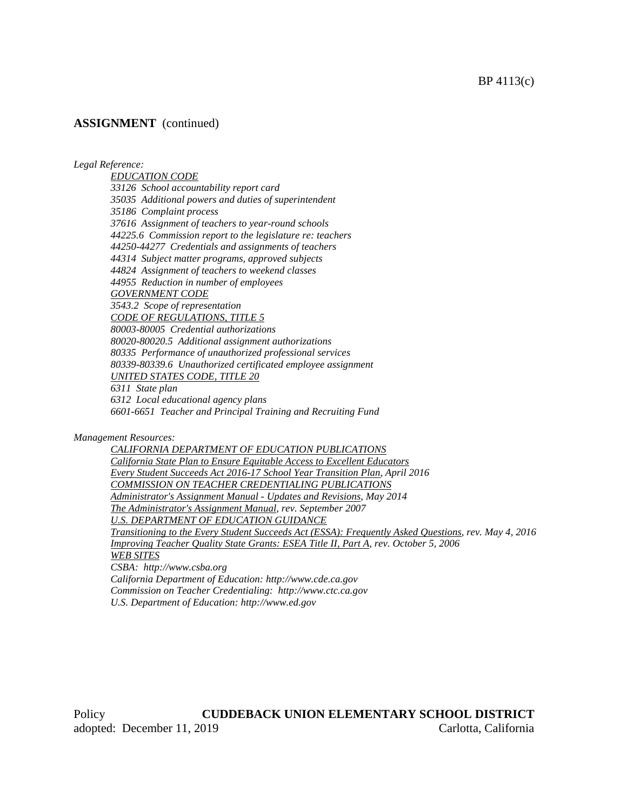BP 4113(c)

## **ASSIGNMENT** (continued)

*Legal Reference:*

*EDUCATION CODE 33126 School accountability report card 35035 Additional powers and duties of superintendent 35186 Complaint process 37616 Assignment of teachers to year-round schools 44225.6 Commission report to the legislature re: teachers 44250-44277 Credentials and assignments of teachers 44314 Subject matter programs, approved subjects 44824 Assignment of teachers to weekend classes 44955 Reduction in number of employees GOVERNMENT CODE 3543.2 Scope of representation CODE OF REGULATIONS, TITLE 5 80003-80005 Credential authorizations 80020-80020.5 Additional assignment authorizations 80335 Performance of unauthorized professional services 80339-80339.6 Unauthorized certificated employee assignment UNITED STATES CODE, TITLE 20 6311 State plan 6312 Local educational agency plans*

*6601-6651 Teacher and Principal Training and Recruiting Fund*

*Management Resources:*

*CALIFORNIA DEPARTMENT OF EDUCATION PUBLICATIONS California State Plan to Ensure Equitable Access to Excellent Educators Every Student Succeeds Act 2016-17 School Year Transition Plan, April 2016 COMMISSION ON TEACHER CREDENTIALING PUBLICATIONS Administrator's Assignment Manual - Updates and Revisions, May 2014 The Administrator's Assignment Manual, rev. September 2007 U.S. DEPARTMENT OF EDUCATION GUIDANCE Transitioning to the Every Student Succeeds Act (ESSA): Frequently Asked Questions, rev. May 4, 2016 Improving Teacher Quality State Grants: ESEA Title II, Part A, rev. October 5, 2006 WEB SITES CSBA: http://www.csba.org California Department of Education: http://www.cde.ca.gov Commission on Teacher Credentialing: http://www.ctc.ca.gov U.S. Department of Education: http://www.ed.gov*

Policy **CUDDEBACK UNION ELEMENTARY SCHOOL DISTRICT** adopted: December 11, 2019 Carlotta, California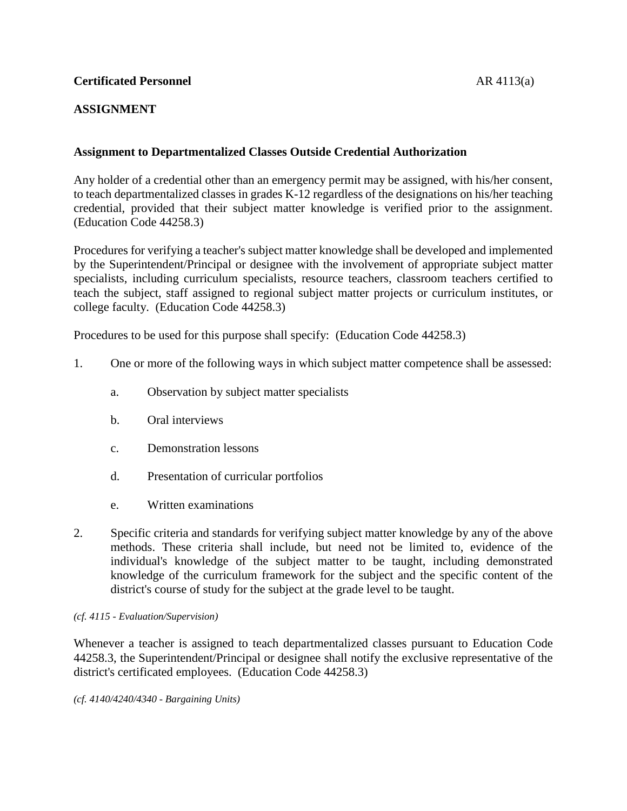# **Certificated Personnel** AR 4113(a)

# **ASSIGNMENT**

# **Assignment to Departmentalized Classes Outside Credential Authorization**

Any holder of a credential other than an emergency permit may be assigned, with his/her consent, to teach departmentalized classes in grades K-12 regardless of the designations on his/her teaching credential, provided that their subject matter knowledge is verified prior to the assignment. (Education Code 44258.3)

Procedures for verifying a teacher's subject matter knowledge shall be developed and implemented by the Superintendent/Principal or designee with the involvement of appropriate subject matter specialists, including curriculum specialists, resource teachers, classroom teachers certified to teach the subject, staff assigned to regional subject matter projects or curriculum institutes, or college faculty. (Education Code 44258.3)

Procedures to be used for this purpose shall specify: (Education Code 44258.3)

- 1. One or more of the following ways in which subject matter competence shall be assessed:
	- a. Observation by subject matter specialists
	- b. Oral interviews
	- c. Demonstration lessons
	- d. Presentation of curricular portfolios
	- e. Written examinations
- 2. Specific criteria and standards for verifying subject matter knowledge by any of the above methods. These criteria shall include, but need not be limited to, evidence of the individual's knowledge of the subject matter to be taught, including demonstrated knowledge of the curriculum framework for the subject and the specific content of the district's course of study for the subject at the grade level to be taught.

### *(cf. 4115 - Evaluation/Supervision)*

Whenever a teacher is assigned to teach departmentalized classes pursuant to Education Code 44258.3, the Superintendent/Principal or designee shall notify the exclusive representative of the district's certificated employees. (Education Code 44258.3)

*(cf. 4140/4240/4340 - Bargaining Units)*